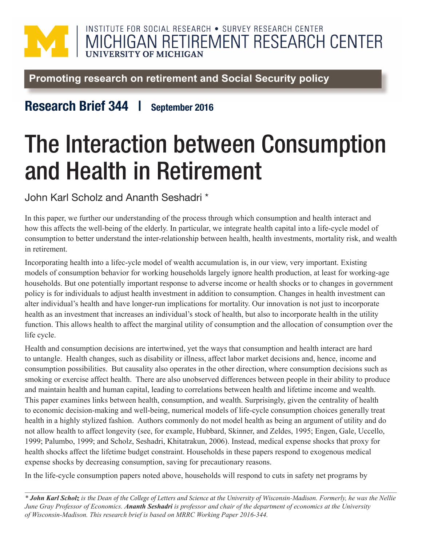## INSTITUTE FOR SOCIAL RESEARCH . SURVEY RESEARCH CENTER MICHIGAN RETIREMENT RESEARCH CENTER **IIVERSITY OF MICHIGAN**

Promoting research on retirement and Social Security policy

## Research Brief 344 | September 2016

## The Interaction between Consumption and Health in Retirement

John Karl Scholz and Ananth Seshadri \*

In this paper, we further our understanding of the process through which consumption and health interact and how this affects the well-being of the elderly. In particular, we integrate health capital into a life-cycle model of consumption to better understand the inter-relationship between health, health investments, mortality risk, and wealth in retirement.

Incorporating health into a lifec-ycle model of wealth accumulation is, in our view, very important. Existing models of consumption behavior for working households largely ignore health production, at least for working-age households. But one potentially important response to adverse income or health shocks or to changes in government policy is for individuals to adjust health investment in addition to consumption. Changes in health investment can alter individual's health and have longer-run implications for mortality. Our innovation is not just to incorporate health as an investment that increases an individual's stock of health, but also to incorporate health in the utility function. This allows health to affect the marginal utility of consumption and the allocation of consumption over the life cycle.

Health and consumption decisions are intertwined, yet the ways that consumption and health interact are hard to untangle. Health changes, such as disability or illness, affect labor market decisions and, hence, income and consumption possibilities. But causality also operates in the other direction, where consumption decisions such as smoking or exercise affect health. There are also unobserved differences between people in their ability to produce and maintain health and human capital, leading to correlations between health and lifetime income and wealth. This paper examines links between health, consumption, and wealth. Surprisingly, given the centrality of health to economic decision-making and well-being, numerical models of life-cycle consumption choices generally treat health in a highly stylized fashion. Authors commonly do not model health as being an argument of utility and do not allow health to affect longevity (see, for example, Hubbard, Skinner, and Zeldes, 1995; Engen, Gale, Uccello, 1999; Palumbo, 1999; and Scholz, Seshadri, Khitatrakun, 2006). Instead, medical expense shocks that proxy for health shocks affect the lifetime budget constraint. Households in these papers respond to exogenous medical expense shocks by decreasing consumption, saving for precautionary reasons.

In the life-cycle consumption papers noted above, households will respond to cuts in safety net programs by

*\* John Karl Scholz is the Dean of the College of Letters and Science at the University of Wisconsin-Madison. Formerly, he was the Nellie June Gray Professor of Economics. Ananth Seshadri is professor and chair of the department of economics at the University of Wisconsin-Madison. This research brief is based on MRRC Working Paper 2016-344.*